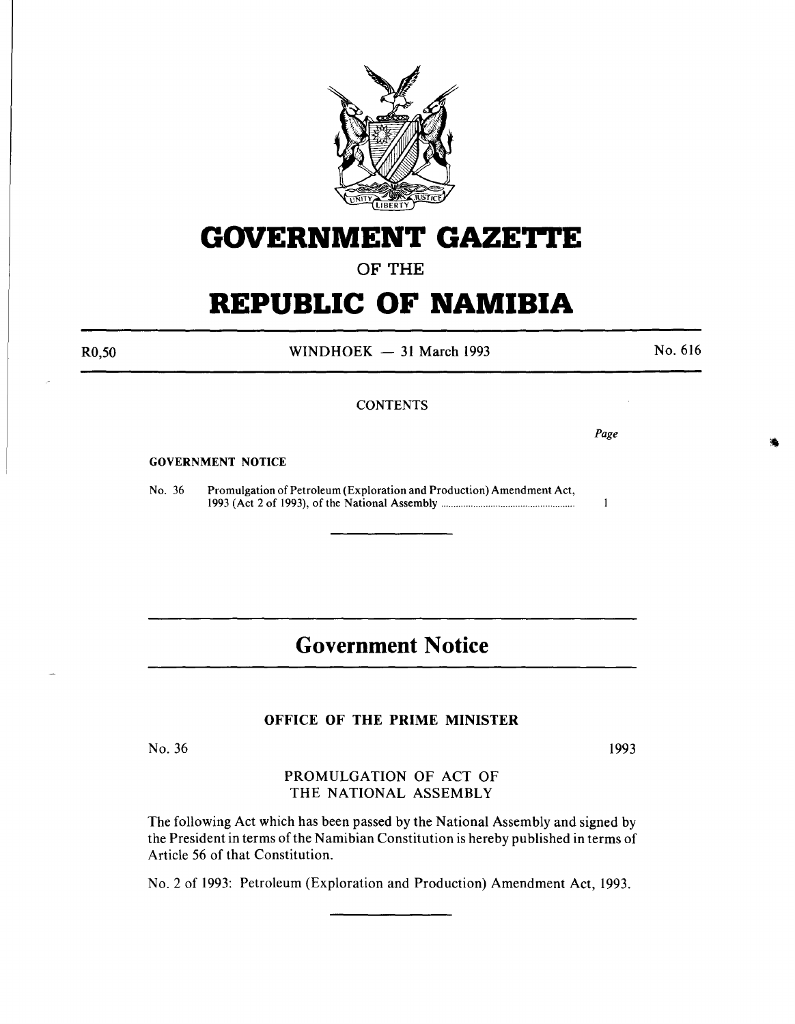

# **GOVERNMENT GAZETTE**

## OF THE

# **REPUBLIC OF NAMIBIA**

WINDHOEK  $-31$  March 1993

No. 616

## **CONTENTS**

*Page* 

 $\mathbf{1}$ 

#### GOVERNMENT NOTICE

No. 36 Promulgation of Petroleum (Exploration and Production) Amendment Act, 1993 (Act 2 of 1993), of the National Assembly ..................................................... .

# **Government Notice**

### OFFICE OF THE PRIME MINISTER

No. 36

1993

PROMULGATION OF ACT OF THE NATIONAL ASSEMBLY

The following Act which has been passed by the National Assembly and signed by the President in terms of the Namibian Constitution is hereby published in terms of Article 56 of that Constitution.

No.2 of 1993: Petroleum (Exploration and Production) Amendment Act, 1993.

R0,50